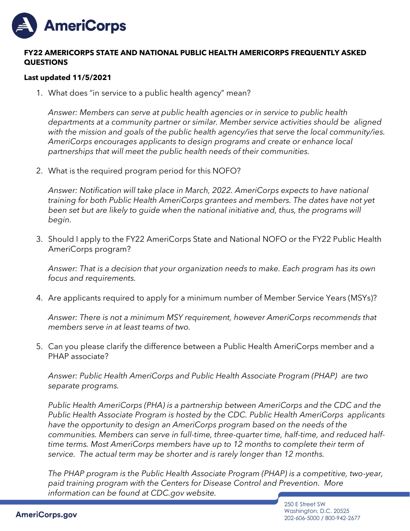

## **FY22 AMERICORPS STATE AND NATIONAL PUBLIC HEALTH AMERICORPS FREQUENTLY ASKED QUESTIONS**

## **Last updated 11/5/2021**

1. What does "in service to a public health agency" mean?

*Answer: Members can serve at public health agencies or in service to public health departments at a community partner or similar. Member service activities should be aligned with the mission and goals of the public health agency/ies that serve the local community/ies. AmeriCorps encourages applicants to design programs and create or enhance local partnerships that will meet the public health needs of their communities.*

2. What is the required program period for this NOFO?

*Answer: Notification will take place in March, 2022. AmeriCorps expects to have national training for both Public Health AmeriCorps grantees and members. The dates have not yet*  been set but are likely to guide when the national initiative and, thus, the programs will *begin.*

3. Should I apply to the FY22 AmeriCorps State and National NOFO or the FY22 Public Health AmeriCorps program?

*Answer: That is a decision that your organization needs to make. Each program has its own focus and requirements.* 

4. Are applicants required to apply for a minimum number of Member Service Years (MSYs)?

*Answer: There is not a minimum MSY requirement, however AmeriCorps recommends that members serve in at least teams of two.*

5. Can you please clarify the difference between a Public Health AmeriCorps member and a PHAP associate?

*Answer: Public Health AmeriCorps and Public Health Associate Program (PHAP) are two separate programs.* 

*Public Health AmeriCorps (PHA) is a partnership between AmeriCorps and the CDC and the Public Health Associate Program is hosted by the CDC. Public Health AmeriCorps applicants have the opportunity to design an AmeriCorps program based on the needs of the communities. Members can serve in full-time, three-quarter time, half-time, and reduced halftime terms. Most AmeriCorps members have up to 12 months to complete their term of service. The actual term may be shorter and is rarely longer than 12 months.* 

*The PHAP program is the Public Health Associate Program (PHAP) is a competitive, two-year, paid training program with the Centers for Disease Control and Prevention. More information can be found at CDC.gov website.*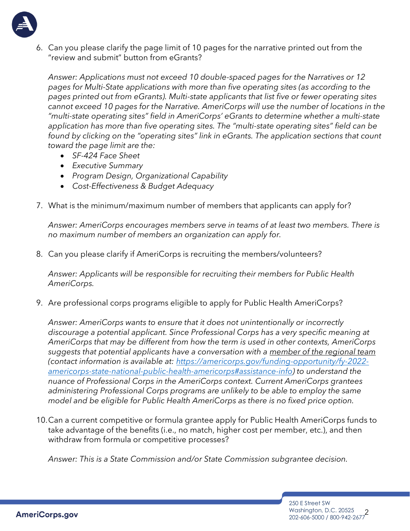

6. Can you please clarify the page limit of 10 pages for the narrative printed out from the "review and submit" button from eGrants?

*Answer: Applications must not exceed 10 double-spaced pages for the Narratives or 12 pages for Multi-State applications with more than five operating sites (as according to the pages printed out from eGrants). Multi-state applicants that list five or fewer operating sites cannot exceed 10 pages for the Narrative. AmeriCorps will use the number of locations in the "multi-state operating sites" field in AmeriCorps' eGrants to determine whether a multi-state application has more than five operating sites. The "multi-state operating sites" field can be*  found by clicking on the "operating sites" link in eGrants. The application sections that count *toward the page limit are the:* 

- *SF-424 Face Sheet*
- *Executive Summary*
- *Program Design, Organizational Capability*
- *Cost-Effectiveness & Budget Adequacy*
- 7. What is the minimum/maximum number of members that applicants can apply for?

*Answer: AmeriCorps encourages members serve in teams of at least two members. There is no maximum number of members an organization can apply for.* 

8. Can you please clarify if AmeriCorps is recruiting the members/volunteers?

*Answer: Applicants will be responsible for recruiting their members for Public Health AmeriCorps.* 

9. Are professional corps programs eligible to apply for Public Health AmeriCorps?

*Answer: AmeriCorps wants to ensure that it does not unintentionally or incorrectly discourage a potential applicant. Since Professional Corps has a very specific meaning at AmeriCorps that may be different from how the term is used in other contexts, AmeriCorps suggests that potential applicants have a conversation with a member of the regional team (contact information is available at: [https://americorps.gov/funding-opportunity/fy-2022](https://americorps.gov/funding-opportunity/fy-2022-americorps-state-national-public-health-americorps#assistance-info) [americorps-state-national-public-health-americorps#assistance-info\)](https://americorps.gov/funding-opportunity/fy-2022-americorps-state-national-public-health-americorps#assistance-info) to understand the nuance of Professional Corps in the AmeriCorps context. Current AmeriCorps grantees administering Professional Corps programs are unlikely to be able to employ the same model and be eligible for Public Health AmeriCorps as there is no fixed price option.* 

10.Can a current competitive or formula grantee apply for Public Health AmeriCorps funds to take advantage of the benefits (i.e., no match, higher cost per member, etc.), and then withdraw from formula or competitive processes?

*Answer: This is a State Commission and/or State Commission subgrantee decision.* 

Washington, D.C. 20525<br>202-606-5000 / 800-942-2677 250 E Street SW Washington, D.C. 20525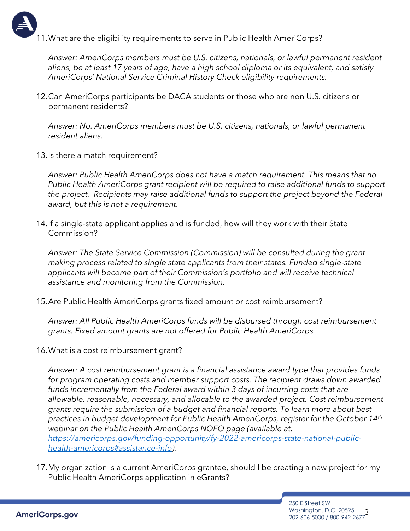

11.What are the eligibility requirements to serve in Public Health AmeriCorps?

*Answer: AmeriCorps members must be U.S. citizens, nationals, or lawful permanent resident aliens, be at least 17 years of age, have a high school diploma or its equivalent, and satisfy AmeriCorps' National Service Criminal History Check eligibility requirements.* 

12.Can AmeriCorps participants be DACA students or those who are non U.S. citizens or permanent residents?

*Answer: No. AmeriCorps members must be U.S. citizens, nationals, or lawful permanent resident aliens.* 

13.Is there a match requirement?

*Answer: Public Health AmeriCorps does not have a match requirement. This means that no Public Health AmeriCorps grant recipient will be required to raise additional funds to support the project. Recipients may raise additional funds to support the project beyond the Federal award, but this is not a requirement.* 

14.If a single-state applicant applies and is funded, how will they work with their State Commission?

*Answer: The State Service Commission (Commission) will be consulted during the grant making process related to single state applicants from their states. Funded single-state applicants will become part of their Commission's portfolio and will receive technical assistance and monitoring from the Commission.*

15.Are Public Health AmeriCorps grants fixed amount or cost reimbursement?

*Answer: All Public Health AmeriCorps funds will be disbursed through cost reimbursement grants. Fixed amount grants are not offered for Public Health AmeriCorps.* 

16.What is a cost reimbursement grant?

*Answer: A cost reimbursement grant is a financial assistance award type that provides funds for program operating costs and member support costs. The recipient draws down awarded*  funds incrementally from the Federal award within 3 days of incurring costs that are *allowable, reasonable, necessary, and allocable to the awarded project. Cost reimbursement grants require the submission of a budget and financial reports. To learn more about best practices in budget development for Public Health AmeriCorps, register for the October 14th webinar on the Public Health AmeriCorps NOFO page (available at: [https://americorps.gov/funding-opportunity/fy-2022-americorps-state-national-public](https://americorps.gov/funding-opportunity/fy-2022-americorps-state-national-public-health-americorps#assistance-info)[health-americorps#assistance-info\)](https://americorps.gov/funding-opportunity/fy-2022-americorps-state-national-public-health-americorps#assistance-info).* 

17.My organization is a current AmeriCorps grantee, should I be creating a new project for my Public Health AmeriCorps application in eGrants?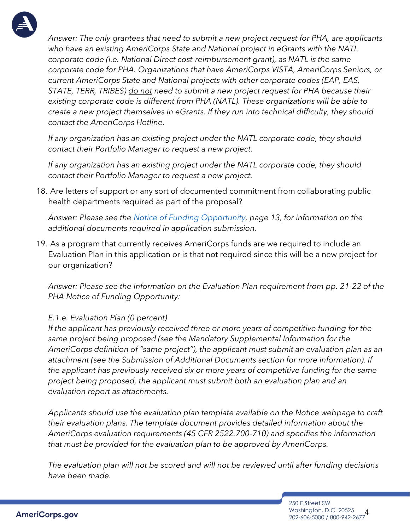

*Answer: The only grantees that need to submit a new project request for PHA, are applicants who have an existing AmeriCorps State and National project in eGrants with the NATL corporate code (i.e. National Direct cost-reimbursement grant), as NATL is the same corporate code for PHA. Organizations that have AmeriCorps VISTA, AmeriCorps Seniors, or current AmeriCorps State and National projects with other corporate codes (EAP, EAS, STATE, TERR, TRIBES) do not need to submit a new project request for PHA because their existing corporate code is different from PHA (NATL). These organizations will be able to create a new project themselves in eGrants. If they run into technical difficulty, they should contact the AmeriCorps Hotline.* 

*If any organization has an existing project under the NATL corporate code, they should contact their Portfolio Manager to request a new project.* 

*If any organization has an existing project under the NATL corporate code, they should contact their Portfolio Manager to request a new project.* 

18. Are letters of support or any sort of documented commitment from collaborating public health departments required as part of the proposal?

*Answer: Please see the [Notice of Funding Opportunity,](https://gcc02.safelinks.protection.outlook.com/?url=https%3A%2F%2Fwww.americorps.gov%2Fsites%2Fdefault%2Ffiles%2Fdocument%2FFY%252022%2520ASN%2520PHA-NOFO-09-03-2021.508.pdf&data=04%7C01%7CAmericorpsGrants%40cns.gov%7Cc175119d6f07415c345f08d993e3b509%7Cd2f850a78dce4fb3a79c6867f9514312%7C0%7C0%7C637703428483432099%7CUnknown%7CTWFpbGZsb3d8eyJWIjoiMC4wLjAwMDAiLCJQIjoiV2luMzIiLCJBTiI6Ik1haWwiLCJXVCI6Mn0%3D%7C1000&sdata=uPSP3votkXwJlCegD8qyf1ez9n%2B8K2UHjGOhJbyzbrY%3D&reserved=0) page 13, for information on the additional documents required in application submission.*

19. As a program that currently receives AmeriCorps funds are we required to include an Evaluation Plan in this application or is that not required since this will be a new project for our organization?

*Answer: Please see the information on the Evaluation Plan requirement from pp. 21-22 of the PHA Notice of Funding Opportunity:*

## *E.1.e. Evaluation Plan (0 percent)*

*If the applicant has previously received three or more years of competitive funding for the same project being proposed (see the Mandatory Supplemental Information for the AmeriCorps definition of "same project"), the applicant must submit an evaluation plan as an attachment (see the Submission of Additional Documents section for more information). If the applicant has previously received six or more years of competitive funding for the same project being proposed, the applicant must submit both an evaluation plan and an evaluation report as attachments.*

*Applicants should use the evaluation plan template available on the Notice webpage to craft their evaluation plans. The template document provides detailed information about the AmeriCorps evaluation requirements (45 CFR 2522.700-710) and specifies the information that must be provided for the evaluation plan to be approved by AmeriCorps.*

*The evaluation plan will not be scored and will not be reviewed until after funding decisions have been made.*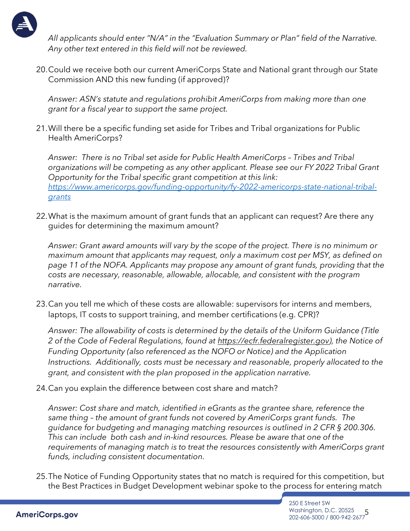

*All applicants should enter "N/A" in the "Evaluation Summary or Plan" field of the Narrative. Any other text entered in this field will not be reviewed.* 

20.Could we receive both our current AmeriCorps State and National grant through our State Commission AND this new funding (if approved)?

*Answer: ASN's statute and regulations prohibit AmeriCorps from making more than one grant for a fiscal year to support the same project.* 

21.Will there be a specific funding set aside for Tribes and Tribal organizations for Public Health AmeriCorps?

Answer: There is no Tribal set aside for Public Health AmeriCorps - Tribes and Tribal *organizations will be competing as any other applicant. Please see our FY 2022 Tribal Grant Opportunity for the Tribal specific grant competition at this link: [https://www.americorps.gov/funding-opportunity/fy-2022-americorps-state-national-tribal](https://www.americorps.gov/funding-opportunity/fy-2022-americorps-state-national-tribal-grants)[grants](https://www.americorps.gov/funding-opportunity/fy-2022-americorps-state-national-tribal-grants)*

22.What is the maximum amount of grant funds that an applicant can request? Are there any guides for determining the maximum amount?

*Answer: Grant award amounts will vary by the scope of the project. There is no minimum or maximum amount that applicants may request, only a maximum cost per MSY, as defined on page 11 of the NOFA. Applicants may propose any amount of grant funds, providing that the costs are necessary, reasonable, allowable, allocable, and consistent with the program narrative.* 

23.Can you tell me which of these costs are allowable: supervisors for interns and members, laptops, IT costs to support training, and member certifications (e.g. CPR)?

*Answer: The allowability of costs is determined by the details of the Uniform Guidance (Title 2 of the Code of Federal Regulations, found at [https://ecfr.federalregister.gov\)](https://gcc02.safelinks.protection.outlook.com/?url=https%3A%2F%2Fecfr.federalregister.gov%2F&data=04%7C01%7CCHolohan%40cns.gov%7C19ed35e2dc6c4450196b08d99a2889ee%7Cd2f850a78dce4fb3a79c6867f9514312%7C0%7C0%7C637710321166029412%7CUnknown%7CTWFpbGZsb3d8eyJWIjoiMC4wLjAwMDAiLCJQIjoiV2luMzIiLCJBTiI6Ik1haWwiLCJXVCI6Mn0%3D%7C1000&sdata=Za63RI%2F19a%2BrJH7aAe56kTjO7pXpgN20%2BcIudeZYRzs%3D&reserved=0), the Notice of Funding Opportunity (also referenced as the NOFO or Notice) and the Application Instructions. Additionally, costs must be necessary and reasonable, properly allocated to the grant, and consistent with the plan proposed in the application narrative.* 

24.Can you explain the difference between cost share and match?

*Answer: Cost share and match, identified in eGrants as the grantee share, reference the same thing – the amount of grant funds not covered by AmeriCorps grant funds. The guidance for budgeting and managing matching resources is outlined in 2 CFR § 200.306. This can include both cash and in-kind resources. Please be aware that one of the requirements of managing match is to treat the resources consistently with AmeriCorps grant funds, including consistent documentation.* 

25.The Notice of Funding Opportunity states that no match is required for this competition, but the Best Practices in Budget Development webinar spoke to the process for entering match

> 5 202-606-5000 / 800-942-2677 250 E Street SW Washington, D.C. 20525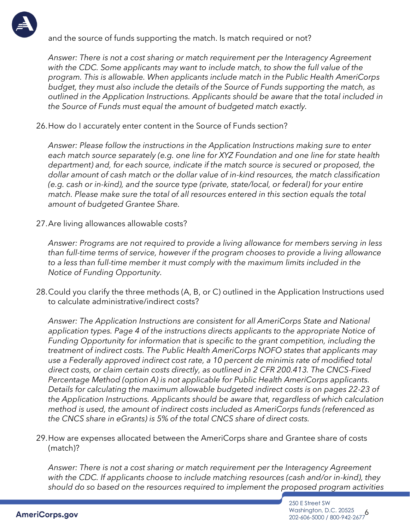

and the source of funds supporting the match. Is match required or not?

*Answer: There is not a cost sharing or match requirement per the Interagency Agreement with the CDC. Some applicants may want to include match, to show the full value of the program. This is allowable. When applicants include match in the Public Health AmeriCorps budget, they must also include the details of the Source of Funds supporting the match, as outlined in the Application Instructions. Applicants should be aware that the total included in the Source of Funds must equal the amount of budgeted match exactly.* 

26.How do I accurately enter content in the Source of Funds section?

*Answer: Please follow the instructions in the Application Instructions making sure to enter each match source separately (e.g. one line for XYZ Foundation and one line for state health department) and, for each source, indicate if the match source is secured or proposed, the dollar amount of cash match or the dollar value of in-kind resources, the match classification (e.g. cash or in-kind), and the source type (private, state/local, or federal) for your entire match. Please make sure the total of all resources entered in this section equals the total amount of budgeted Grantee Share.* 

27.Are living allowances allowable costs?

*Answer: Programs are not required to provide a living allowance for members serving in less than full-time terms of service, however if the program chooses to provide a living allowance to a less than full-time member it must comply with the maximum limits included in the Notice of Funding Opportunity.* 

28.Could you clarify the three methods (A, B, or C) outlined in the Application Instructions used to calculate administrative/indirect costs?

*Answer: The Application Instructions are consistent for all AmeriCorps State and National application types. Page 4 of the instructions directs applicants to the appropriate Notice of Funding Opportunity for information that is specific to the grant competition, including the treatment of indirect costs. The Public Health AmeriCorps NOFO states that applicants may use a Federally approved indirect cost rate, a 10 percent de minimis rate of modified total direct costs, or claim certain costs directly, as outlined in 2 CFR 200.413. The CNCS-Fixed Percentage Method (option A) is not applicable for Public Health AmeriCorps applicants. Details for calculating the maximum allowable budgeted indirect costs is on pages 22-23 of the Application Instructions. Applicants should be aware that, regardless of which calculation method is used, the amount of indirect costs included as AmeriCorps funds (referenced as the CNCS share in eGrants) is 5% of the total CNCS share of direct costs.* 

29.How are expenses allocated between the AmeriCorps share and Grantee share of costs (match)?

*Answer: There is not a cost sharing or match requirement per the Interagency Agreement with the CDC. If applicants choose to include matching resources (cash and/or in-kind), they should do so based on the resources required to implement the proposed program activities*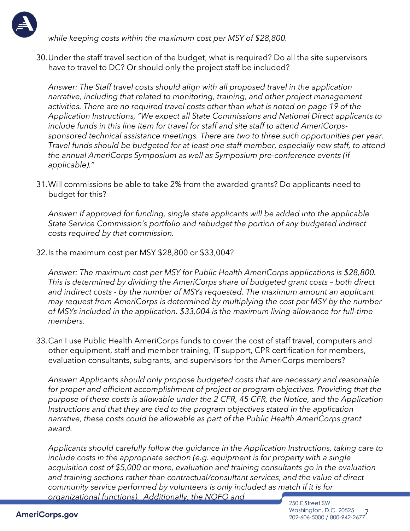

*while keeping costs within the maximum cost per MSY of \$28,800.* 

30.Under the staff travel section of the budget, what is required? Do all the site supervisors have to travel to DC? Or should only the project staff be included?

*Answer: The Staff travel costs should align with all proposed travel in the application narrative, including that related to monitoring, training, and other project management activities. There are no required travel costs other than what is noted on page 19 of the Application Instructions, "We expect all State Commissions and National Direct applicants to include funds in this line item for travel for staff and site staff to attend AmeriCorpssponsored technical assistance meetings. There are two to three such opportunities per year. Travel funds should be budgeted for at least one staff member, especially new staff, to attend the annual AmeriCorps Symposium as well as Symposium pre-conference events (if applicable)."*

31.Will commissions be able to take 2% from the awarded grants? Do applicants need to budget for this?

*Answer: If approved for funding, single state applicants will be added into the applicable State Service Commission's portfolio and rebudget the portion of any budgeted indirect costs required by that commission.* 

32.Is the maximum cost per MSY \$28,800 or \$33,004?

*Answer: The maximum cost per MSY for Public Health AmeriCorps applications is \$28,800. This is determined by dividing the AmeriCorps share of budgeted grant costs - both direct and indirect costs - by the number of MSYs requested. The maximum amount an applicant may request from AmeriCorps is determined by multiplying the cost per MSY by the number of MSYs included in the application. \$33,004 is the maximum living allowance for full-time members.* 

33.Can I use Public Health AmeriCorps funds to cover the cost of staff travel, computers and other equipment, staff and member training, IT support, CPR certification for members, evaluation consultants, subgrants, and supervisors for the AmeriCorps members?

*Answer: Applicants should only propose budgeted costs that are necessary and reasonable for proper and efficient accomplishment of project or program objectives. Providing that the purpose of these costs is allowable under the 2 CFR, 45 CFR, the Notice, and the Application Instructions and that they are tied to the program objectives stated in the application narrative, these costs could be allowable as part of the Public Health AmeriCorps grant award.* 

*Applicants should carefully follow the guidance in the Application Instructions, taking care to include costs in the appropriate section (e.g. equipment is for property with a single acquisition cost of \$5,000 or more, evaluation and training consultants go in the evaluation and training sections rather than contractual/consultant services, and the value of direct community service performed by volunteers is only included as match if it is for organizational functions). Additionally, the NOFO and*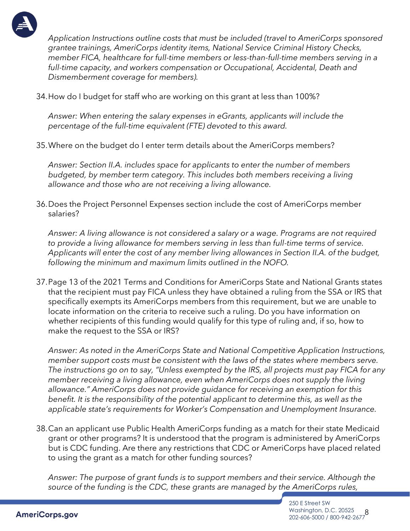

*Application Instructions outline costs that must be included (travel to AmeriCorps sponsored grantee trainings, AmeriCorps identity items, National Service Criminal History Checks, member FICA, healthcare for full-time members or less-than-full-time members serving in a full-time capacity, and workers compensation or Occupational, Accidental, Death and Dismemberment coverage for members).* 

34.How do I budget for staff who are working on this grant at less than 100%?

*Answer: When entering the salary expenses in eGrants, applicants will include the percentage of the full-time equivalent (FTE) devoted to this award.* 

35.Where on the budget do I enter term details about the AmeriCorps members?

*Answer: Section II.A. includes space for applicants to enter the number of members budgeted, by member term category. This includes both members receiving a living allowance and those who are not receiving a living allowance.* 

36.Does the Project Personnel Expenses section include the cost of AmeriCorps member salaries?

*Answer: A living allowance is not considered a salary or a wage. Programs are not required to provide a living allowance for members serving in less than full-time terms of service. Applicants will enter the cost of any member living allowances in Section II.A. of the budget, following the minimum and maximum limits outlined in the NOFO.* 

37.Page 13 of the 2021 Terms and Conditions for AmeriCorps State and National Grants states that the recipient must pay FICA unless they have obtained a ruling from the SSA or IRS that specifically exempts its AmeriCorps members from this requirement, but we are unable to locate information on the criteria to receive such a ruling. Do you have information on whether recipients of this funding would qualify for this type of ruling and, if so, how to make the request to the SSA or IRS?

*Answer: As noted in the AmeriCorps State and National Competitive Application Instructions, member support costs must be consistent with the laws of the states where members serve. The instructions go on to say, "Unless exempted by the IRS, all projects must pay FICA for any member receiving a living allowance, even when AmeriCorps does not supply the living allowance." AmeriCorps does not provide guidance for receiving an exemption for this benefit. It is the responsibility of the potential applicant to determine this, as well as the applicable state's requirements for Worker's Compensation and Unemployment Insurance.*

38.Can an applicant use Public Health AmeriCorps funding as a match for their state Medicaid grant or other programs? It is understood that the program is administered by AmeriCorps but is CDC funding. Are there any restrictions that CDC or AmeriCorps have placed related to using the grant as a match for other funding sources?

*Answer: The purpose of grant funds is to support members and their service. Although the source of the funding is the CDC, these grants are managed by the AmeriCorps rules,*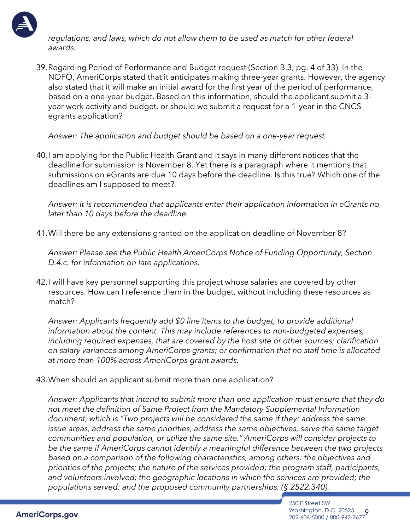

*regulations, and laws, which do not allow them to be used as match for other federal awards.* 

39.Regarding Period of Performance and Budget request (Section B.3, pg. 4 of 33). In the NOFO, AmeriCorps stated that it anticipates making three-year grants. However, the agency also stated that it will make an initial award for the first year of the period of performance, based on a one-year budget. Based on this information, should the applicant submit a 3 year work activity and budget, or should we submit a request for a 1-year in the CNCS egrants application?

*Answer: The application and budget should be based on a one-year request.* 

40.I am applying for the Public Health Grant and it says in many different notices that the deadline for submission is November 8. Yet there is a paragraph where it mentions that submissions on eGrants are due 10 days before the deadline. Is this true? Which one of the deadlines am I supposed to meet?

*Answer: It is recommended that applicants enter their application information in eGrants no later than 10 days before the deadline.* 

41.Will there be any extensions granted on the application deadline of November 8?

*Answer: Please see the Public Health AmeriCorps Notice of Funding Opportunity, Section D.4.c. for information on late applications.* 

42.I will have key personnel supporting this project whose salaries are covered by other resources. How can I reference them in the budget, without including these resources as match?

*Answer: Applicants frequently add \$0 line items to the budget, to provide additional information about the content. This may include references to non-budgeted expenses, including required expenses, that are covered by the host site or other sources; clarification on salary variances among AmeriCorps grants; or confirmation that no staff time is allocated at more than 100% across AmeriCorps grant awards.* 

43.When should an applicant submit more than one application?

*Answer: Applicants that intend to submit more than one application must ensure that they do not meet the definition of Same Project from the Mandatory Supplemental Information document, which is "Two projects will be considered the same if they: address the same issue areas, address the same priorities, address the same objectives, serve the same target communities and population, or utilize the same site." AmeriCorps will consider projects to be the same if AmeriCorps cannot identify a meaningful difference between the two projects based on a comparison of the following characteristics, among others: the objectives and priorities of the projects; the nature of the services provided; the program staff, participants, and volunteers involved; the geographic locations in which the services are provided; the populations served; and the proposed community partnerships. (§ 2522.340).*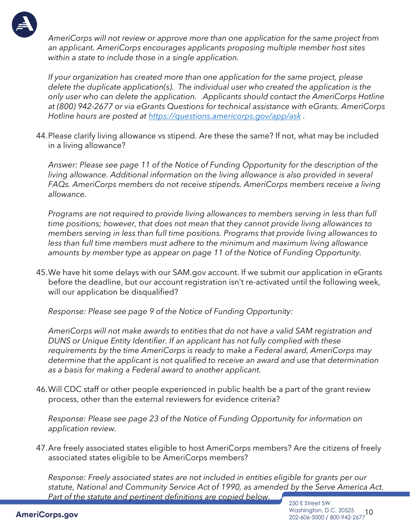

*AmeriCorps will not review or approve more than one application for the same project from an applicant. AmeriCorps encourages applicants proposing multiple member host sites within a state to include those in a single application.* 

*If your organization has created more than one application for the same project, please delete the duplicate application(s). The individual user who created the application is the only user who can delete the application. Applicants should contact the AmeriCorps Hotline at (800) 942-2677 or via eGrants Questions for technical assistance with eGrants. AmeriCorps Hotline hours are posted at<https://questions.americorps.gov/app/ask> .*

44.Please clarify living allowance vs stipend. Are these the same? If not, what may be included in a living allowance?

*Answer: Please see page 11 of the Notice of Funding Opportunity for the description of the living allowance. Additional information on the living allowance is also provided in several FAQs. AmeriCorps members do not receive stipends. AmeriCorps members receive a living allowance.* 

*Programs are not required to provide living allowances to members serving in less than full time positions; however, that does not mean that they cannot provide living allowances to members serving in less than full time positions. Programs that provide living allowances to less than full time members must adhere to the minimum and maximum living allowance amounts by member type as appear on page 11 of the Notice of Funding Opportunity.* 

45.We have hit some delays with our SAM.gov account. If we submit our application in eGrants before the deadline, but our account registration isn't re-activated until the following week, will our application be disqualified?

*Response: Please see page 9 of the Notice of Funding Opportunity:* 

*AmeriCorps will not make awards to entities that do not have a valid SAM registration and DUNS or Unique Entity Identifier. If an applicant has not fully complied with these requirements by the time AmeriCorps is ready to make a Federal award, AmeriCorps may determine that the applicant is not qualified to receive an award and use that determination as a basis for making a Federal award to another applicant.* 

46.Will CDC staff or other people experienced in public health be a part of the grant review process, other than the external reviewers for evidence criteria?

*Response: Please see page 23 of the Notice of Funding Opportunity for information on application review.* 

47.Are freely associated states eligible to host AmeriCorps members? Are the citizens of freely associated states eligible to be AmeriCorps members?

*Response: Freely associated states are not included in entities eligible for grants per our statute, National and Community Service Act of 1990, as amended by the Serve America Act. Part of the statute and pertinent definitions are copied below.*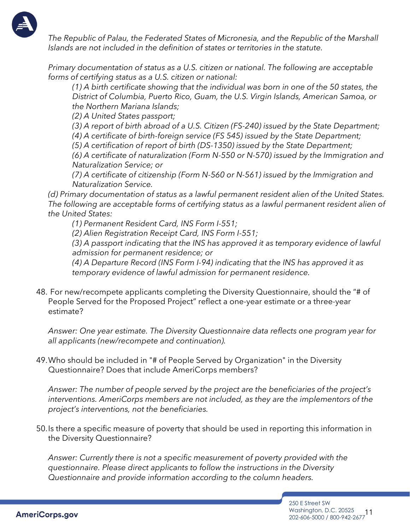

*The Republic of Palau, the Federated States of Micronesia, and the Republic of the Marshall Islands are not included in the definition of states or territories in the statute.* 

*Primary documentation of status as a U.S. citizen or national. The following are acceptable forms of certifying status as a U.S. citizen or national:* 

*(1) A birth certificate showing that the individual was born in one of the 50 states, the District of Columbia, Puerto Rico, Guam, the U.S. Virgin Islands, American Samoa, or the Northern Mariana Islands;* 

*(2) A United States passport;* 

*(3) A report of birth abroad of a U.S. Citizen (FS-240) issued by the State Department;* 

*(4) A certificate of birth-foreign service (FS 545) issued by the State Department;* 

*(5) A certification of report of birth (DS-1350) issued by the State Department;* 

*(6) A certificate of naturalization (Form N-550 or N-570) issued by the Immigration and Naturalization Service; or* 

*(7) A certificate of citizenship (Form N-560 or N-561) issued by the Immigration and Naturalization Service.* 

*(d) Primary documentation of status as a lawful permanent resident alien of the United States. The following are acceptable forms of certifying status as a lawful permanent resident alien of the United States:* 

*(1) Permanent Resident Card, INS Form I-551;* 

*(2) Alien Registration Receipt Card, INS Form I-551;* 

*(3) A passport indicating that the INS has approved it as temporary evidence of lawful admission for permanent residence; or* 

*(4) A Departure Record (INS Form I-94) indicating that the INS has approved it as temporary evidence of lawful admission for permanent residence.* 

48. For new/recompete applicants completing the Diversity Questionnaire, should the "# of People Served for the Proposed Project" reflect a one-year estimate or a three-year estimate?

*Answer: One year estimate. The Diversity Questionnaire data reflects one program year for all applicants (new/recompete and continuation).* 

49.Who should be included in "# of People Served by Organization" in the Diversity Questionnaire? Does that include AmeriCorps members?

*Answer: The number of people served by the project are the beneficiaries of the project's interventions. AmeriCorps members are not included, as they are the implementors of the project's interventions, not the beneficiaries.* 

50.Is there a specific measure of poverty that should be used in reporting this information in the Diversity Questionnaire?

*Answer: Currently there is not a specific measurement of poverty provided with the questionnaire. Please direct applicants to follow the instructions in the Diversity Questionnaire and provide information according to the column headers.*